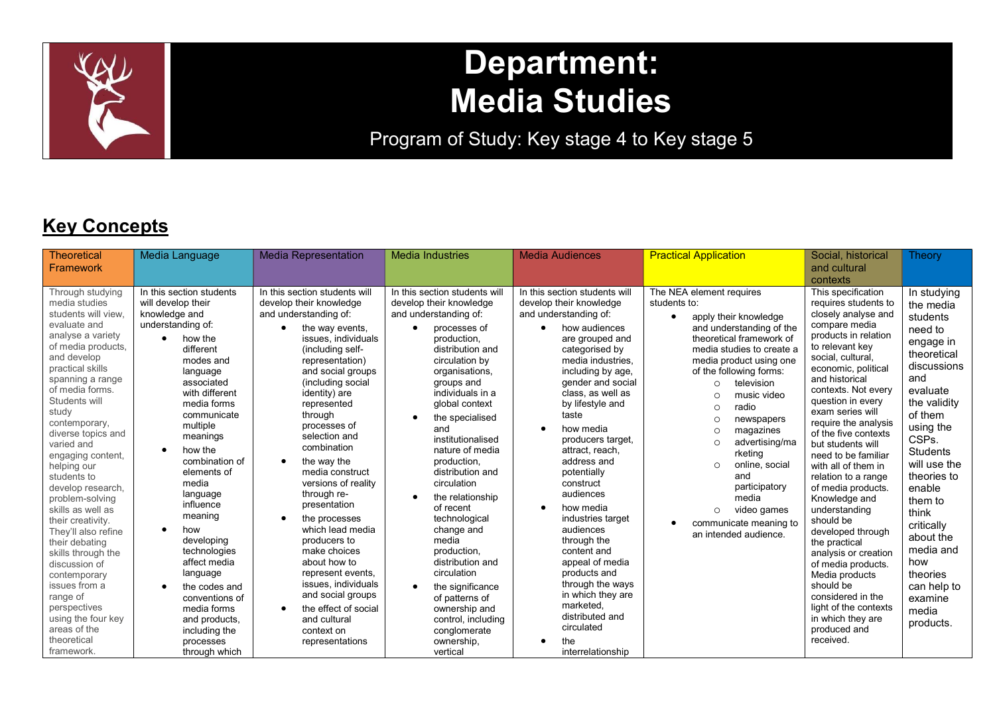

# Department: Media Studies

Program of Study: Key stage 4 to Key stage 5

## **Key Concepts**

| Theoretical<br>Framework                                                                                                                                                                                                                                                                                                                                                                                                                                                                                                                                                                                                          | Media Language                                                                                                                                                                                                                                                                                                                                                                                                                                                                                          | <b>Media Representation</b>                                                                                                                                                                                                                                                                                                                                                                                                                                                                                                                                                                                                                                                        | <b>Media Industries</b>                                                                                                                                                                                                                                                                                                                                                                                                                                                                                                                                                                                         | <b>Media Audiences</b>                                                                                                                                                                                                                                                                                                                                                                                                                                                                                                                                                                                   | <b>Practical Application</b>                                                                                                                                                                                                                                                                                                                                                                                                                                                                                                   | Social, historical<br>and cultural<br>contexts                                                                                                                                                                                                                                                                                                                                                                                                                                                                                                                                                                                                                                                | Theory                                                                                                                                                                                                                                                                                                                                                    |
|-----------------------------------------------------------------------------------------------------------------------------------------------------------------------------------------------------------------------------------------------------------------------------------------------------------------------------------------------------------------------------------------------------------------------------------------------------------------------------------------------------------------------------------------------------------------------------------------------------------------------------------|---------------------------------------------------------------------------------------------------------------------------------------------------------------------------------------------------------------------------------------------------------------------------------------------------------------------------------------------------------------------------------------------------------------------------------------------------------------------------------------------------------|------------------------------------------------------------------------------------------------------------------------------------------------------------------------------------------------------------------------------------------------------------------------------------------------------------------------------------------------------------------------------------------------------------------------------------------------------------------------------------------------------------------------------------------------------------------------------------------------------------------------------------------------------------------------------------|-----------------------------------------------------------------------------------------------------------------------------------------------------------------------------------------------------------------------------------------------------------------------------------------------------------------------------------------------------------------------------------------------------------------------------------------------------------------------------------------------------------------------------------------------------------------------------------------------------------------|----------------------------------------------------------------------------------------------------------------------------------------------------------------------------------------------------------------------------------------------------------------------------------------------------------------------------------------------------------------------------------------------------------------------------------------------------------------------------------------------------------------------------------------------------------------------------------------------------------|--------------------------------------------------------------------------------------------------------------------------------------------------------------------------------------------------------------------------------------------------------------------------------------------------------------------------------------------------------------------------------------------------------------------------------------------------------------------------------------------------------------------------------|-----------------------------------------------------------------------------------------------------------------------------------------------------------------------------------------------------------------------------------------------------------------------------------------------------------------------------------------------------------------------------------------------------------------------------------------------------------------------------------------------------------------------------------------------------------------------------------------------------------------------------------------------------------------------------------------------|-----------------------------------------------------------------------------------------------------------------------------------------------------------------------------------------------------------------------------------------------------------------------------------------------------------------------------------------------------------|
| Through studying<br>media studies<br>students will view.<br>evaluate and<br>analyse a variety<br>of media products,<br>and develop<br>practical skills<br>spanning a range<br>of media forms.<br>Students will<br>study<br>contemporary,<br>diverse topics and<br>varied and<br>engaging content,<br>helping our<br>students to<br>develop research,<br>problem-solving<br>skills as well as<br>their creativity.<br>They'll also refine<br>their debating<br>skills through the<br>discussion of<br>contemporary<br>issues from a<br>range of<br>perspectives<br>using the four key<br>areas of the<br>theoretical<br>framework. | In this section students<br>will develop their<br>knowledge and<br>understanding of:<br>how the<br>different<br>modes and<br>language<br>associated<br>with different<br>media forms<br>communicate<br>multiple<br>meanings<br>how the<br>combination of<br>elements of<br>media<br>language<br>influence<br>meaning<br>how<br>developing<br>technologies<br>affect media<br>language<br>the codes and<br>conventions of<br>media forms<br>and products,<br>including the<br>processes<br>through which | In this section students will<br>develop their knowledge<br>and understanding of:<br>the way events,<br>$\bullet$<br>issues, individuals<br>(including self-<br>representation)<br>and social groups<br>(including social<br>identity) are<br>represented<br>through<br>processes of<br>selection and<br>combination<br>the way the<br>$\bullet$<br>media construct<br>versions of reality<br>through re-<br>presentation<br>the processes<br>$\bullet$<br>which lead media<br>producers to<br>make choices<br>about how to<br>represent events,<br>issues, individuals<br>and social groups<br>the effect of social<br>$\bullet$<br>and cultural<br>context on<br>representations | In this section students will<br>develop their knowledge<br>and understanding of:<br>processes of<br>production.<br>distribution and<br>circulation by<br>organisations,<br>groups and<br>individuals in a<br>global context<br>the specialised<br>and<br>institutionalised<br>nature of media<br>production,<br>distribution and<br>circulation<br>the relationship<br>of recent<br>technological<br>change and<br>media<br>production,<br>distribution and<br>circulation<br>the significance<br>$\bullet$<br>of patterns of<br>ownership and<br>control, including<br>conglomerate<br>ownership,<br>vertical | In this section students will<br>develop their knowledge<br>and understanding of:<br>how audiences<br>are grouped and<br>categorised by<br>media industries.<br>including by age,<br>gender and social<br>class, as well as<br>by lifestyle and<br>taste<br>how media<br>producers target,<br>attract, reach,<br>address and<br>potentially<br>construct<br>audiences<br>how media<br>industries target<br>audiences<br>through the<br>content and<br>appeal of media<br>products and<br>through the ways<br>in which they are<br>marketed.<br>distributed and<br>circulated<br>the<br>interrelationship | The NEA element requires<br>students to:<br>apply their knowledge<br>and understanding of the<br>theoretical framework of<br>media studies to create a<br>media product using one<br>of the following forms:<br>television<br>$\Omega$<br>music video<br>$\Omega$<br>radio<br>$\bigcap$<br>newspapers<br>$\Omega$<br>magazines<br>$\Omega$<br>advertising/ma<br>$\Omega$<br>rketing<br>online, social<br>$\circ$<br>and<br>participatory<br>media<br>video games<br>$\circ$<br>communicate meaning to<br>an intended audience. | This specification<br>requires students to<br>closely analyse and<br>compare media<br>products in relation<br>to relevant key<br>social, cultural,<br>economic, political<br>and historical<br>contexts. Not every<br>question in every<br>exam series will<br>require the analysis<br>of the five contexts<br>but students will<br>need to be familiar<br>with all of them in<br>relation to a range<br>of media products.<br>Knowledge and<br>understanding<br>should be<br>developed through<br>the practical<br>analysis or creation<br>of media products.<br>Media products<br>should be<br>considered in the<br>light of the contexts<br>in which they are<br>produced and<br>received. | In studying<br>the media<br>students<br>need to<br>engage in<br>theoretical<br>discussions<br>and<br>evaluate<br>the validity<br>of them<br>using the<br>CSPs.<br><b>Students</b><br>will use the<br>theories to<br>enable<br>them to<br>think<br>critically<br>about the<br>media and<br>how<br>theories<br>can help to<br>examine<br>media<br>products. |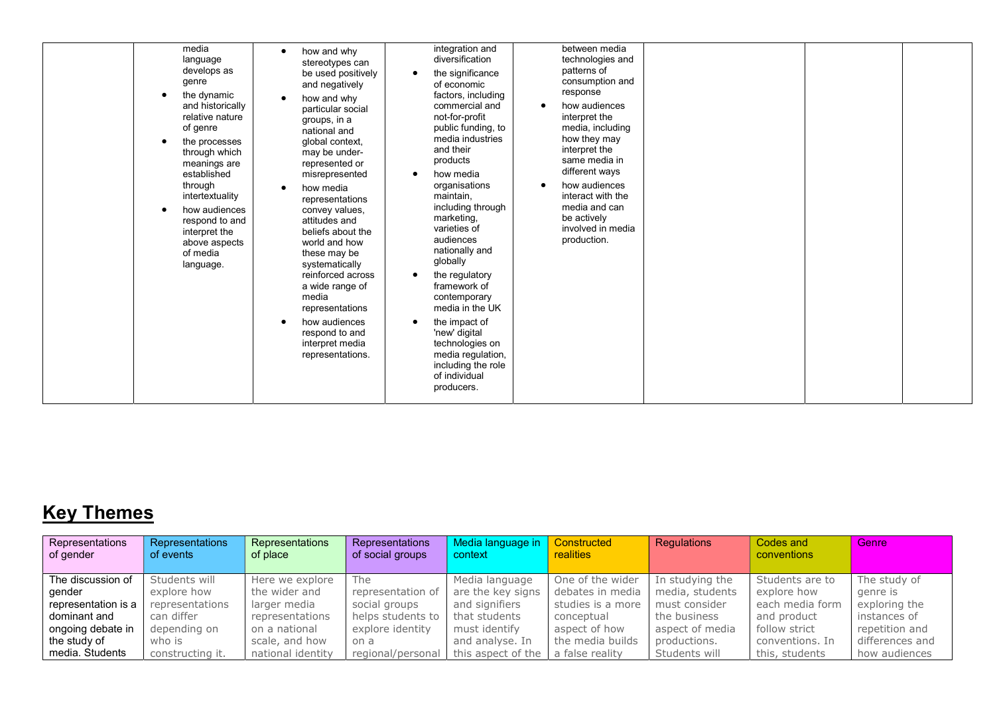| media              | integration and    |
|--------------------|--------------------|
| how and why        | between media      |
| $\bullet$          | diversification    |
| language           | technologies and   |
| stereotypes can    | patterns of        |
| develops as        | the significance   |
| be used positively | consumption and    |
| genre              | of economic        |
| and negatively     | response           |
| the dynamic        | factors, including |
| how and why        | commercial and     |
| $\bullet$          | how audiences      |
| and historically   | $\bullet$          |
| particular social  | not-for-profit     |
| relative nature    | interpret the      |
| groups, in a       | media, including   |
| of genre           | public funding, to |
| national and       | media industries   |
| global context,    | how they may       |
| the processes      | and their          |
| through which      | interpret the      |
| may be under-      | same media in      |
| meanings are       | products           |
| represented or     | different ways     |
| established        | how media          |
| misrepresented     | how audiences      |
| through            | organisations      |
| how media          | $\bullet$          |
| $\bullet$          | interact with the  |
| intertextuality    | maintain,          |
| representations    | including through  |
| how audiences      | media and can      |
| convey values,     | be actively        |
| attitudes and      | marketing,         |
| respond to and     | varieties of       |
| interpret the      | involved in media  |
| beliefs about the  | audiences          |
| above aspects      | production.        |
| world and how      | nationally and     |
| of media           | globally           |
| these may be       | the regulatory     |
| systematically     | framework of       |
| language.          | contemporary       |
| reinforced across  | media in the UK    |
| a wide range of    | the impact of      |
| media              | 'new' digital      |
| representations    | technologies on    |
| how audiences      | media regulation,  |
| respond to and     | including the role |
| interpret media    | of individual      |
| representations.   | producers.         |

# Key Themes

| Representations                    | <b>Representations</b> | Representations   | Representations   | Media language in  | Constructed       | Regulations     | Codes and          | Genre           |
|------------------------------------|------------------------|-------------------|-------------------|--------------------|-------------------|-----------------|--------------------|-----------------|
| $\overline{\phantom{a}}$ of gender | of events              | of place          | of social groups  | context            | realities         |                 | <b>conventions</b> |                 |
|                                    |                        |                   |                   |                    |                   |                 |                    |                 |
| $\mathsf I$ The discussion of      | Students will          | Here we explore   | The               | Media language     | One of the wider  | In studying the | Students are to    | The study of    |
| gender                             | explore how            | the wider and     | representation of | are the key signs  | debates in media  | media, students | explore how        | genre is        |
| representation is a                | representations        | larger media      | social groups     | and signifiers     | studies is a more | must consider   | each media form    | exploring the   |
| dominant and                       | can differ             | representations   | helps students to | that students      | conceptual        | the business    | and product        | instances of    |
| ongoing debate in                  | depending on           | on a national     | explore identity  | must identify      | aspect of how     | aspect of media | follow strict      | repetition and  |
| the study of                       | who is                 | scale, and how    | on a              | and analyse. In    | the media builds  | productions.    | conventions. In    | differences and |
| I media. Students                  | constructing it.       | national identity | regional/personal | this aspect of the | a false reality   | Students will   | this, students     | how audiences   |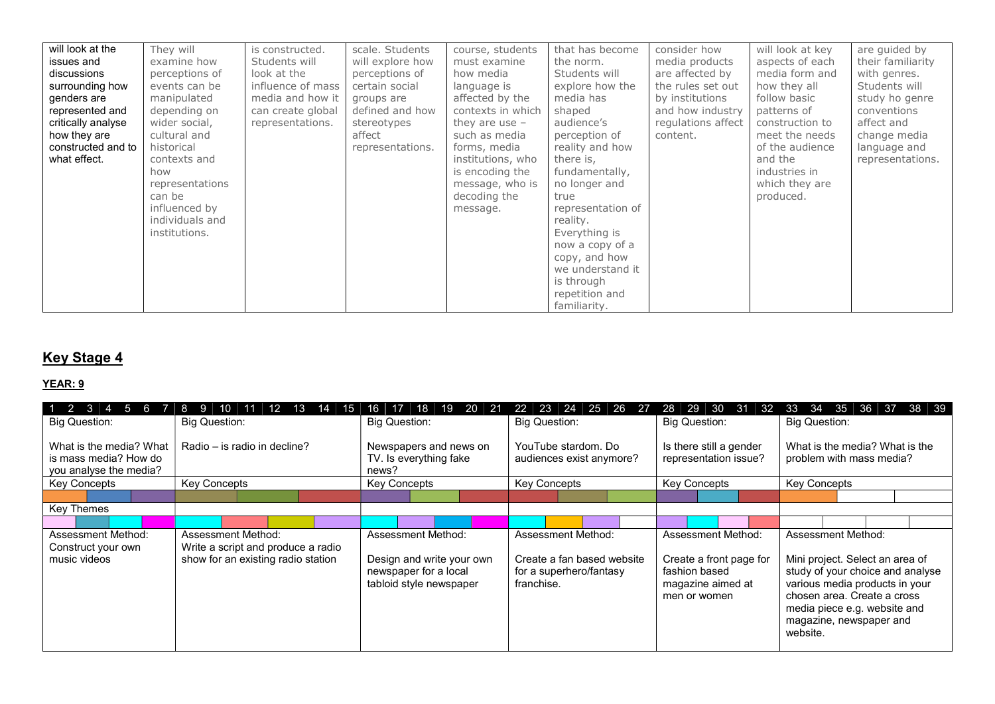| will look at the<br>issues and<br>discussions<br>surrounding how<br>genders are<br>represented and<br>critically analyse<br>how they are<br>constructed and to<br>what effect. | They will<br>examine how<br>perceptions of<br>events can be<br>manipulated<br>depending on<br>wider social,<br>cultural and<br>historical<br>contexts and<br>how<br>representations<br>can be<br>influenced by<br>individuals and<br>institutions. | is constructed.<br>Students will<br>look at the<br>influence of mass<br>media and how it<br>can create global<br>representations. | scale. Students<br>will explore how<br>perceptions of<br>certain social<br>groups are<br>defined and how<br>stereotypes<br>affect<br>representations. | course, students<br>must examine<br>how media<br>language is<br>affected by the<br>contexts in which<br>they are use $-$<br>such as media<br>forms, media<br>institutions, who<br>is encoding the<br>message, who is<br>decoding the<br>message. | that has become<br>the norm.<br>Students will<br>explore how the<br>media has<br>shaped<br>audience's<br>perception of<br>reality and how<br>there is,<br>fundamentally,<br>no longer and<br>true<br>representation of<br>reality.<br>Everything is<br>now a copy of a<br>copy, and how<br>we understand it<br>is through<br>repetition and<br>familiarity. | consider how<br>media products<br>are affected by<br>the rules set out<br>by institutions<br>and how industry<br>regulations affect<br>content. | will look at key<br>aspects of each<br>media form and<br>how they all<br>follow basic<br>patterns of<br>construction to<br>meet the needs<br>of the audience<br>and the<br>industries in<br>which they are<br>produced. | are guided by<br>their familiarity<br>with genres.<br>Students will<br>study ho genre<br>conventions<br>affect and<br>change media<br>language and<br>representations. |
|--------------------------------------------------------------------------------------------------------------------------------------------------------------------------------|----------------------------------------------------------------------------------------------------------------------------------------------------------------------------------------------------------------------------------------------------|-----------------------------------------------------------------------------------------------------------------------------------|-------------------------------------------------------------------------------------------------------------------------------------------------------|--------------------------------------------------------------------------------------------------------------------------------------------------------------------------------------------------------------------------------------------------|-------------------------------------------------------------------------------------------------------------------------------------------------------------------------------------------------------------------------------------------------------------------------------------------------------------------------------------------------------------|-------------------------------------------------------------------------------------------------------------------------------------------------|-------------------------------------------------------------------------------------------------------------------------------------------------------------------------------------------------------------------------|------------------------------------------------------------------------------------------------------------------------------------------------------------------------|
|--------------------------------------------------------------------------------------------------------------------------------------------------------------------------------|----------------------------------------------------------------------------------------------------------------------------------------------------------------------------------------------------------------------------------------------------|-----------------------------------------------------------------------------------------------------------------------------------|-------------------------------------------------------------------------------------------------------------------------------------------------------|--------------------------------------------------------------------------------------------------------------------------------------------------------------------------------------------------------------------------------------------------|-------------------------------------------------------------------------------------------------------------------------------------------------------------------------------------------------------------------------------------------------------------------------------------------------------------------------------------------------------------|-------------------------------------------------------------------------------------------------------------------------------------------------|-------------------------------------------------------------------------------------------------------------------------------------------------------------------------------------------------------------------------|------------------------------------------------------------------------------------------------------------------------------------------------------------------------|

### **Key Stage 4**

| $\overline{2}$<br>$\mathbf{B}$<br>15.            | ר ו                                                      | 18<br>19<br>20<br>-21<br>16.                                                  | -23<br>24<br>25<br>26<br>22<br>-27                                  | -30<br>29<br>-31<br>28<br>-32                                                 | 34<br>35<br>36<br>38 39<br>33<br>-37                                                                                                                                                                        |
|--------------------------------------------------|----------------------------------------------------------|-------------------------------------------------------------------------------|---------------------------------------------------------------------|-------------------------------------------------------------------------------|-------------------------------------------------------------------------------------------------------------------------------------------------------------------------------------------------------------|
| <b>Big Question:</b>                             | <b>Big Question:</b>                                     | <b>Big Question:</b>                                                          | <b>Big Question:</b>                                                | <b>Big Question:</b>                                                          | <b>Big Question:</b>                                                                                                                                                                                        |
| What is the media? What<br>is mass media? How do | Radio – is radio in decline?                             | Newspapers and news on<br>TV. Is everything fake                              | YouTube stardom, Do<br>audiences exist anymore?                     | Is there still a gender<br>representation issue?                              | What is the media? What is the<br>problem with mass media?                                                                                                                                                  |
| you analyse the media?                           |                                                          | news?                                                                         |                                                                     |                                                                               |                                                                                                                                                                                                             |
| Key Concepts                                     | <b>Key Concepts</b>                                      | <b>Key Concepts</b>                                                           | Key Concepts                                                        | <b>Key Concepts</b>                                                           | <b>Key Concepts</b>                                                                                                                                                                                         |
|                                                  |                                                          |                                                                               |                                                                     |                                                                               |                                                                                                                                                                                                             |
| Key Themes                                       |                                                          |                                                                               |                                                                     |                                                                               |                                                                                                                                                                                                             |
|                                                  |                                                          |                                                                               |                                                                     |                                                                               |                                                                                                                                                                                                             |
| Assessment Method:<br>Construct your own         | Assessment Method:<br>Write a script and produce a radio | Assessment Method:                                                            | Assessment Method:                                                  | Assessment Method:                                                            | Assessment Method:                                                                                                                                                                                          |
| music videos                                     | show for an existing radio station                       | Design and write your own<br>newspaper for a local<br>tabloid style newspaper | Create a fan based website<br>for a superhero/fantasy<br>franchise. | Create a front page for<br>fashion based<br>magazine aimed at<br>men or women | Mini project. Select an area of<br>study of your choice and analyse<br>various media products in your<br>chosen area. Create a cross<br>media piece e.g. website and<br>magazine, newspaper and<br>website. |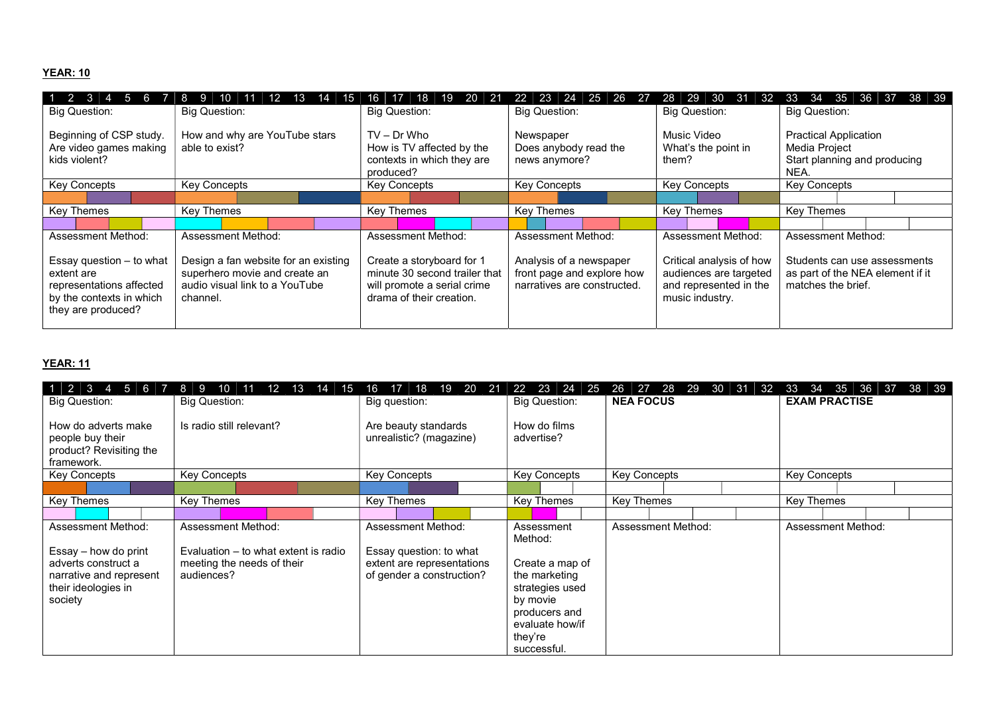#### YEAR: 10

| $1\overline{2}$<br>$\mathbf{B}$<br>$\sqrt{5}$<br>6 | ה ו                                  | 20<br>18.<br>-21<br>16.                 | 23<br>25<br>- 24<br>-26<br>22 | 30 31<br>29<br>28<br>-32 | 34<br>35<br>-36<br>38 39<br>33<br>-37 |
|----------------------------------------------------|--------------------------------------|-----------------------------------------|-------------------------------|--------------------------|---------------------------------------|
| <b>Big Question:</b>                               | <b>Big Question:</b>                 | <b>Big Question:</b>                    | <b>Big Question:</b>          | Big Question:            | <b>Big Question:</b>                  |
| Beginning of CSP study.                            | How and why are YouTube stars        | $TV - Dr$ Who                           | Newspaper                     | Music Video              | <b>Practical Application</b>          |
| Are video games making                             | able to exist?                       | How is TV affected by the               | Does anybody read the         | What's the point in      | Media Project                         |
| kids violent?                                      |                                      | contexts in which they are<br>produced? | news anymore?                 | them?                    | Start planning and producing<br>NEA.  |
| Key Concepts                                       | <b>Key Concepts</b>                  | <b>Key Concepts</b>                     | <b>Key Concepts</b>           | Key Concepts             | <b>Key Concepts</b>                   |
|                                                    |                                      |                                         |                               |                          |                                       |
| Key Themes                                         | Key Themes                           | Key Themes                              | Key Themes                    | <b>Key Themes</b>        | Key Themes                            |
|                                                    |                                      |                                         |                               |                          |                                       |
| Assessment Method:                                 | Assessment Method:                   | Assessment Method:                      | <b>Assessment Method:</b>     | Assessment Method:       | <b>Assessment Method:</b>             |
| Essay question $-$ to what                         | Design a fan website for an existing | Create a storyboard for 1               | Analysis of a newspaper       | Critical analysis of how | Students can use assessments          |
| extent are                                         | superhero movie and create an        | minute 30 second trailer that           | front page and explore how    | audiences are targeted   | as part of the NEA element if it      |
| representations affected                           | audio visual link to a YouTube       | will promote a serial crime             | narratives are constructed.   | and represented in the   | matches the brief.                    |
| by the contexts in which                           | channel.                             | drama of their creation.                |                               | music industry.          |                                       |
| they are produced?                                 |                                      |                                         |                               |                          |                                       |
|                                                    |                                      |                                         |                               |                          |                                       |

| $1 \mid 2 \mid 3 \mid$<br>$4 \mid 5 \mid 6$<br>$\mathbf{V}$<br><b>Big Question:</b>                                            | 8<br>-9<br>10<br>12.<br>13<br>14<br>15<br><b>Big Question:</b>                                         | 20<br>-21<br>18<br>19<br>16<br>Big question:                                                                    | 22<br>23<br>24<br>-25<br><b>Big Question:</b>                                                                                                          | 27 28<br>30<br>-29<br>31 32<br>26<br><b>NEA FOCUS</b> | 33<br>34<br>35<br>36<br>38<br>- 39<br>37<br><b>EXAM PRACTISE</b> |
|--------------------------------------------------------------------------------------------------------------------------------|--------------------------------------------------------------------------------------------------------|-----------------------------------------------------------------------------------------------------------------|--------------------------------------------------------------------------------------------------------------------------------------------------------|-------------------------------------------------------|------------------------------------------------------------------|
| How do adverts make<br>people buy their<br>product? Revisiting the<br>framework.                                               | Is radio still relevant?                                                                               | Are beauty standards<br>unrealistic? (magazine)                                                                 | How do films<br>advertise?                                                                                                                             |                                                       |                                                                  |
| <b>Key Concepts</b>                                                                                                            | <b>Key Concepts</b>                                                                                    | <b>Key Concepts</b>                                                                                             | <b>Key Concepts</b>                                                                                                                                    | <b>Key Concepts</b>                                   | <b>Key Concepts</b>                                              |
| Key Themes                                                                                                                     | Key Themes                                                                                             | <b>Key Themes</b>                                                                                               | Key Themes                                                                                                                                             | <b>Key Themes</b>                                     | Key Themes                                                       |
| Assessment Method:<br>Essay – how do print<br>adverts construct a<br>narrative and represent<br>their ideologies in<br>society | Assessment Method:<br>Evaluation – to what extent is radio<br>meeting the needs of their<br>audiences? | <b>Assessment Method:</b><br>Essay question: to what<br>extent are representations<br>of gender a construction? | Assessment<br>Method:<br>Create a map of<br>the marketing<br>strategies used<br>by movie<br>producers and<br>evaluate how/if<br>they're<br>successful. | Assessment Method:                                    | Assessment Method:                                               |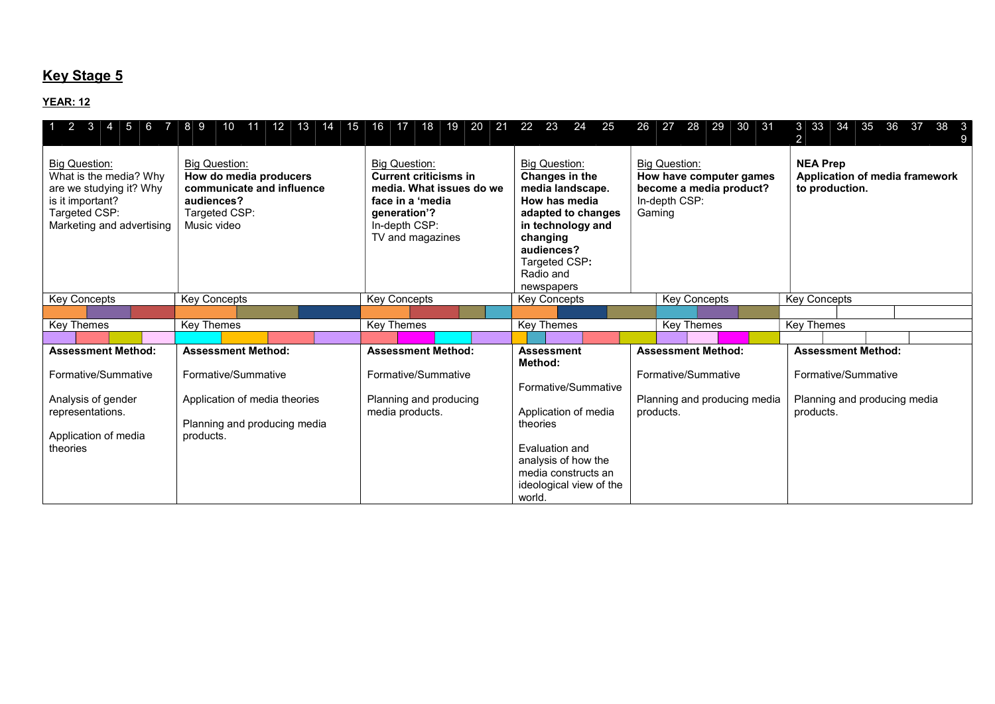## **Key Stage 5**

| 2<br>3<br>15.<br>- 6<br>$\overline{7}$                                                                                                      | 89<br>12 <sup>7</sup><br>13<br>11<br>15<br>10<br>14                                                                       | 16<br>20<br>21<br>17<br>18<br>19                                                                                                                          | 22<br>23<br>24<br>25                                                                                                                                                                         | 28<br>29<br>30<br>26<br>27<br>-31                                                                     | 3 33<br>-34<br>35<br>38<br>-36<br>-37<br>- 3<br>2                   |
|---------------------------------------------------------------------------------------------------------------------------------------------|---------------------------------------------------------------------------------------------------------------------------|-----------------------------------------------------------------------------------------------------------------------------------------------------------|----------------------------------------------------------------------------------------------------------------------------------------------------------------------------------------------|-------------------------------------------------------------------------------------------------------|---------------------------------------------------------------------|
| <b>Big Question:</b><br>What is the media? Why<br>are we studying it? Why<br>is it important?<br>Targeted CSP:<br>Marketing and advertising | <b>Big Question:</b><br>How do media producers<br>communicate and influence<br>audiences?<br>Targeted CSP:<br>Music video | <b>Big Question:</b><br><b>Current criticisms in</b><br>media. What issues do we<br>face in a 'media<br>generation'?<br>In-depth CSP:<br>TV and magazines | <b>Big Question:</b><br>Changes in the<br>media landscape.<br>How has media<br>adapted to changes<br>in technology and<br>changing<br>audiences?<br>Targeted CSP:<br>Radio and<br>newspapers | <b>Big Question:</b><br>How have computer games<br>become a media product?<br>In-depth CSP:<br>Gaming | <b>NEA Prep</b><br>Application of media framework<br>to production. |
| <b>Key Concepts</b>                                                                                                                         | <b>Key Concepts</b>                                                                                                       | <b>Key Concepts</b>                                                                                                                                       | <b>Key Concepts</b>                                                                                                                                                                          | <b>Key Concepts</b>                                                                                   | <b>Key Concepts</b>                                                 |
|                                                                                                                                             |                                                                                                                           |                                                                                                                                                           |                                                                                                                                                                                              |                                                                                                       |                                                                     |
| Key Themes                                                                                                                                  | Key Themes                                                                                                                | <b>Key Themes</b>                                                                                                                                         | <b>Key Themes</b>                                                                                                                                                                            | <b>Key Themes</b>                                                                                     | <b>Key Themes</b>                                                   |
|                                                                                                                                             |                                                                                                                           |                                                                                                                                                           |                                                                                                                                                                                              |                                                                                                       |                                                                     |
| <b>Assessment Method:</b>                                                                                                                   | <b>Assessment Method:</b>                                                                                                 | <b>Assessment Method:</b>                                                                                                                                 | <b>Assessment</b><br>Method:                                                                                                                                                                 | <b>Assessment Method:</b>                                                                             | <b>Assessment Method:</b>                                           |
| Formative/Summative                                                                                                                         | Formative/Summative                                                                                                       | Formative/Summative                                                                                                                                       | Formative/Summative                                                                                                                                                                          | Formative/Summative                                                                                   | Formative/Summative                                                 |
| Analysis of gender<br>representations.<br>Application of media                                                                              | Application of media theories<br>Planning and producing media<br>products.                                                | Planning and producing<br>media products.                                                                                                                 | Application of media<br>theories                                                                                                                                                             | Planning and producing media<br>products.                                                             | Planning and producing media<br>products.                           |
| theories                                                                                                                                    |                                                                                                                           |                                                                                                                                                           | Evaluation and<br>analysis of how the<br>media constructs an<br>ideological view of the<br>world.                                                                                            |                                                                                                       |                                                                     |